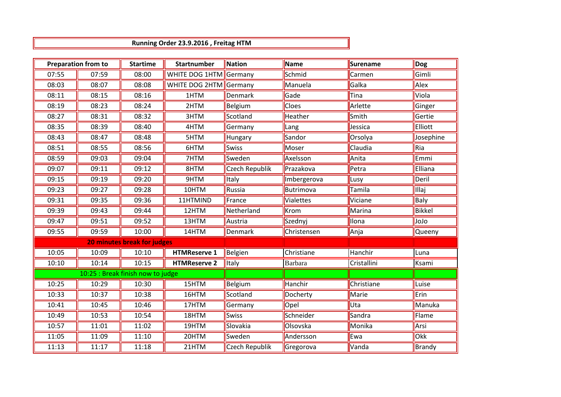**Running Order 23.9.2016 , Freitag HTM**

| <b>Preparation from to</b>        |       | <b>Startime</b> | Startnumber             | <b>Nation</b>  | Name           | <b>Surename</b> | Dog       |
|-----------------------------------|-------|-----------------|-------------------------|----------------|----------------|-----------------|-----------|
| 07:55                             | 07:59 | 08:00           | WHITE DOG 1HTM  Germany |                | Schmid         | Carmen          | Gimli     |
| 08:03                             | 08:07 | 08:08           | WHITE DOG 2HTM Germany  |                | Manuela        | Galka           | Alex      |
| 08:11                             | 08:15 | 08:16           | 1HTM                    | Denmark        | Gade           | Tina            | Viola     |
| 08:19                             | 08:23 | 08:24           | 2HTM                    | Belgium        | <b>Cloes</b>   | Arlette         | Ginger    |
| 08:27                             | 08:31 | 08:32           | 3HTM                    | Scotland       | Heather        | Smith           | Gertie    |
| 08:35                             | 08:39 | 08:40           | 4HTM                    | Germany        | Lang           | Jessica         | Elliott   |
| 08:43                             | 08:47 | 08:48           | 5HTM                    | Hungary        | Sandor         | Orsolya         | Josephine |
| 08:51                             | 08:55 | 08:56           | 6HTM                    | Swiss          | Moser          | Claudia         | Ria       |
| 08:59                             | 09:03 | 09:04           | 7HTM                    | Sweden         | Axelsson       | Anita           | Emmi      |
| 09:07                             | 09:11 | 09:12           | 8HTM                    | Czech Republik | Prazakova      | Petra           | Elliana   |
| 09:15                             | 09:19 | 09:20           | 9HTM                    | Italy          | Imbergerova    | Lusy            | Deril     |
| 09:23                             | 09:27 | 09:28           | 10HTM                   | Russia         | Butrimova      | Tamila          | Illaj     |
| 09:31                             | 09:35 | 09:36           | 11HTMIND                | France         | Vialettes      | Viciane         | Baly      |
| 09:39                             | 09:43 | 09:44           | 12HTM                   | Netherland     | Krom           | Marina          | Bikkel    |
| 09:47                             | 09:51 | 09:52           | 13HTM                   | Austria        | Szednyj        | Ilona           | olol      |
| 09:55                             | 09:59 | 10:00           | 14HTM                   | Denmark        | Christensen    | Anja            | Queeny    |
| 20 minutes break for judges       |       |                 |                         |                |                |                 |           |
| 10:05                             | 10:09 | 10:10           | <b>HTMReserve 1</b>     | Belgien        | Christiane     | Hanchir         | Luna      |
| 10:10                             | 10:14 | 10:15           | <b>HTMReserve 2</b>     | Italy          | <b>Barbara</b> | Cristallini     | Ksami     |
| 10:25 : Break finish now to judge |       |                 |                         |                |                |                 |           |
| 10:25                             | 10:29 | 10:30           | 15HTM                   | Belgium        | Hanchir        | Christiane      | Luise     |
| 10:33                             | 10:37 | 10:38           | 16HTM                   | Scotland       | Docherty       | Marie           | Erin      |
| 10:41                             | 10:45 | 10:46           | 17HTM                   | Germany        | Opel           | Uta             | Manuka    |
| 10:49                             | 10:53 | 10:54           | 18HTM                   | <b>Swiss</b>   | Schneider      | Sandra          | Flame     |
| 10:57                             | 11:01 | 11:02           | 19HTM                   | Slovakia       | Olsovska       | Monika          | Arsi      |
| 11:05                             | 11:09 | 11:10           | 20HTM                   | Sweden         | Andersson      | Ewa             | Okk       |
| 11:13                             | 11:17 | 11:18           | 21HTM                   | Czech Republik | Gregorova      | Vanda           | Brandy    |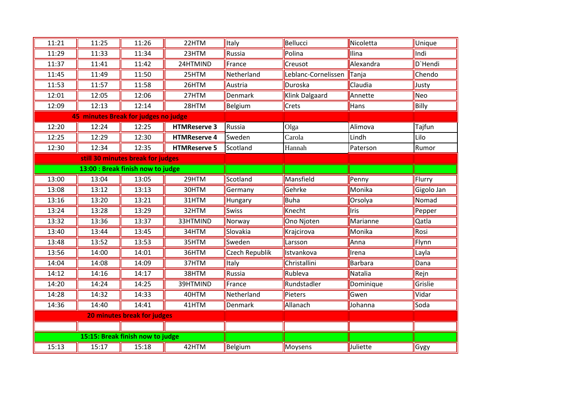| 11:21                                | 11:25                              | 11:26 | 22HTM               | <b>Italy</b>   | Bellucci            | Nicoletta | Unique     |
|--------------------------------------|------------------------------------|-------|---------------------|----------------|---------------------|-----------|------------|
| 11:29                                | 11:33                              | 11:34 | 23HTM               | Russia         | Polina              | Ilina     | Indi       |
| 11:37                                | 11:41                              | 11:42 | 24HTMIND            | France         | Creusot             | Alexandra | D'Hendi    |
| 11:45                                | 11:49                              | 11:50 | 25HTM               | Netherland     | Leblanc-Cornelissen | Tanja     | Chendo     |
| 11:53                                | 11:57                              | 11:58 | 26HTM               | Austria        | Duroska             | Claudia   | Justy      |
| 12:01                                | 12:05                              | 12:06 | 27HTM               | Denmark        | Klink Dalgaard      | Annette   | Neo        |
| 12:09                                | 12:13                              | 12:14 | 28HTM               | Belgium        | <b>Crets</b>        | Hans      | Billy      |
| 45 minutes Break for judges no judge |                                    |       |                     |                |                     |           |            |
| 12:20                                | 12:24                              | 12:25 | <b>HTMReserve 3</b> | Russia         | Olga                | Alimova   | Tajfun     |
| 12:25                                | 12:29                              | 12:30 | <b>HTMReserve 4</b> | Sweden         | Carola              | Lindh     | Lilo       |
| 12:30                                | 12:34                              | 12:35 | <b>HTMReserve 5</b> | Scotland       | Hannah              | Paterson  | Rumor      |
| still 30 minutes break for judges    |                                    |       |                     |                |                     |           |            |
| 13:00 : Break finish now to judge    |                                    |       |                     |                |                     |           |            |
| 13:00                                | 13:04                              | 13:05 | 29HTM               | Scotland       | Mansfield           | Penny     | Flurry     |
| 13:08                                | 13:12                              | 13:13 | 30HTM               | Germany        | Gehrke              | Monika    | Gigolo Jan |
| 13:16                                | 13:20                              | 13:21 | 31HTM               | Hungary        | Buha                | Orsolya   | Nomad      |
| 13:24                                | 13:28                              | 13:29 | 32HTM               | <b>Swiss</b>   | Knecht              | Iris      | Pepper     |
| 13:32                                | 13:36                              | 13:37 | 33HTMIND            | Norway         | Ono Njoten          | Marianne  | Qatla      |
| 13:40                                | 13:44                              | 13:45 | 34HTM               | Slovakia       | Krajcirova          | Monika    | Rosi       |
| 13:48                                | 13:52                              | 13:53 | 35HTM               | Sweden         | Larsson             | Anna      | Flynn      |
| 13:56                                | 14:00                              | 14:01 | 36HTM               | Czech Republik | Istvankova          | Irena     | Layla      |
| 14:04                                | 14:08                              | 14:09 | 37HTM               | Italy          | Christallini        | Barbara   | Dana       |
| 14:12                                | 14:16                              | 14:17 | 38HTM               | Russia         | Rubleva             | Natalia   | Rejn       |
| 14:20                                | 14:24                              | 14:25 | 39HTMIND            | France         | Rundstadler         | Dominique | Grislie    |
| 14:28                                | 14:32                              | 14:33 | 40HTM               | Netherland     | Pieters             | Gwen      | Vidar      |
| 14:36                                | 14:40                              | 14:41 | 41HTM               | Denmark        | Allanach            | Johanna   | Soda       |
|                                      | <b>20 minutes break for judges</b> |       |                     |                |                     |           |            |
|                                      |                                    |       |                     |                |                     |           |            |
| 15:15: Break finish now to judge     |                                    |       |                     |                |                     |           |            |
| 15:13                                | 15:17                              | 15:18 | 42HTM               | Belgium        | Moysens             | Juliette  | Gygy       |